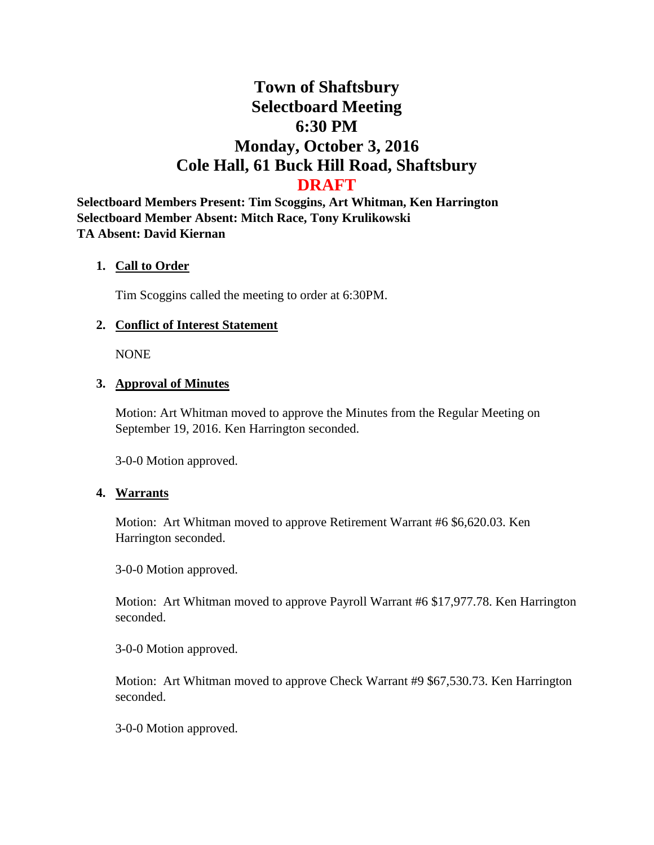# **Town of Shaftsbury Selectboard Meeting 6:30 PM Monday, October 3, 2016 Cole Hall, 61 Buck Hill Road, Shaftsbury DRAFT**

**Selectboard Members Present: Tim Scoggins, Art Whitman, Ken Harrington Selectboard Member Absent: Mitch Race, Tony Krulikowski TA Absent: David Kiernan**

#### **1. Call to Order**

Tim Scoggins called the meeting to order at 6:30PM.

## **2. Conflict of Interest Statement**

NONE

## **3. Approval of Minutes**

Motion: Art Whitman moved to approve the Minutes from the Regular Meeting on September 19, 2016. Ken Harrington seconded.

3-0-0 Motion approved.

## **4. Warrants**

Motion: Art Whitman moved to approve Retirement Warrant #6 \$6,620.03. Ken Harrington seconded.

3-0-0 Motion approved.

Motion: Art Whitman moved to approve Payroll Warrant #6 \$17,977.78. Ken Harrington seconded.

3-0-0 Motion approved.

Motion: Art Whitman moved to approve Check Warrant #9 \$67,530.73. Ken Harrington seconded.

3-0-0 Motion approved.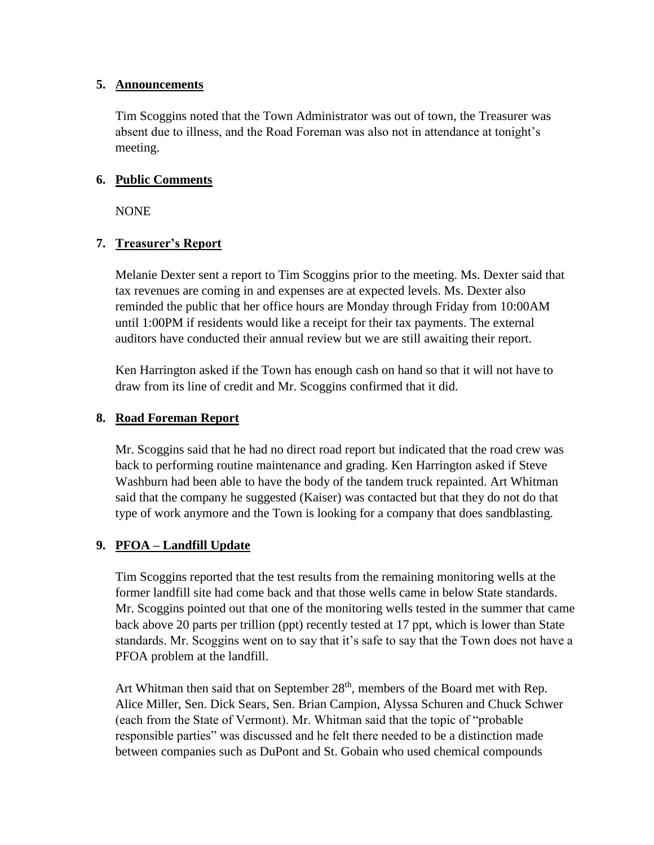#### **5. Announcements**

Tim Scoggins noted that the Town Administrator was out of town, the Treasurer was absent due to illness, and the Road Foreman was also not in attendance at tonight's meeting.

## **6. Public Comments**

**NONE** 

# **7. Treasurer's Report**

Melanie Dexter sent a report to Tim Scoggins prior to the meeting. Ms. Dexter said that tax revenues are coming in and expenses are at expected levels. Ms. Dexter also reminded the public that her office hours are Monday through Friday from 10:00AM until 1:00PM if residents would like a receipt for their tax payments. The external auditors have conducted their annual review but we are still awaiting their report.

Ken Harrington asked if the Town has enough cash on hand so that it will not have to draw from its line of credit and Mr. Scoggins confirmed that it did.

## **8. Road Foreman Report**

Mr. Scoggins said that he had no direct road report but indicated that the road crew was back to performing routine maintenance and grading. Ken Harrington asked if Steve Washburn had been able to have the body of the tandem truck repainted. Art Whitman said that the company he suggested (Kaiser) was contacted but that they do not do that type of work anymore and the Town is looking for a company that does sandblasting.

## **9. PFOA – Landfill Update**

Tim Scoggins reported that the test results from the remaining monitoring wells at the former landfill site had come back and that those wells came in below State standards. Mr. Scoggins pointed out that one of the monitoring wells tested in the summer that came back above 20 parts per trillion (ppt) recently tested at 17 ppt, which is lower than State standards. Mr. Scoggins went on to say that it's safe to say that the Town does not have a PFOA problem at the landfill.

Art Whitman then said that on September  $28<sup>th</sup>$ , members of the Board met with Rep. Alice Miller, Sen. Dick Sears, Sen. Brian Campion, Alyssa Schuren and Chuck Schwer (each from the State of Vermont). Mr. Whitman said that the topic of "probable responsible parties" was discussed and he felt there needed to be a distinction made between companies such as DuPont and St. Gobain who used chemical compounds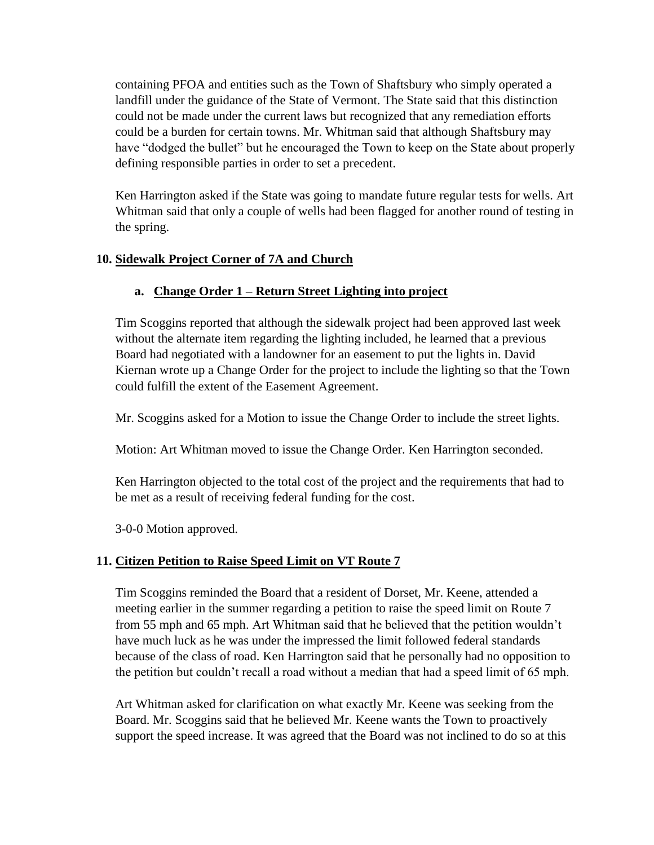containing PFOA and entities such as the Town of Shaftsbury who simply operated a landfill under the guidance of the State of Vermont. The State said that this distinction could not be made under the current laws but recognized that any remediation efforts could be a burden for certain towns. Mr. Whitman said that although Shaftsbury may have "dodged the bullet" but he encouraged the Town to keep on the State about properly defining responsible parties in order to set a precedent.

Ken Harrington asked if the State was going to mandate future regular tests for wells. Art Whitman said that only a couple of wells had been flagged for another round of testing in the spring.

# **10. Sidewalk Project Corner of 7A and Church**

# **a. Change Order 1 – Return Street Lighting into project**

Tim Scoggins reported that although the sidewalk project had been approved last week without the alternate item regarding the lighting included, he learned that a previous Board had negotiated with a landowner for an easement to put the lights in. David Kiernan wrote up a Change Order for the project to include the lighting so that the Town could fulfill the extent of the Easement Agreement.

Mr. Scoggins asked for a Motion to issue the Change Order to include the street lights.

Motion: Art Whitman moved to issue the Change Order. Ken Harrington seconded.

Ken Harrington objected to the total cost of the project and the requirements that had to be met as a result of receiving federal funding for the cost.

3-0-0 Motion approved.

## **11. Citizen Petition to Raise Speed Limit on VT Route 7**

Tim Scoggins reminded the Board that a resident of Dorset, Mr. Keene, attended a meeting earlier in the summer regarding a petition to raise the speed limit on Route 7 from 55 mph and 65 mph. Art Whitman said that he believed that the petition wouldn't have much luck as he was under the impressed the limit followed federal standards because of the class of road. Ken Harrington said that he personally had no opposition to the petition but couldn't recall a road without a median that had a speed limit of 65 mph.

Art Whitman asked for clarification on what exactly Mr. Keene was seeking from the Board. Mr. Scoggins said that he believed Mr. Keene wants the Town to proactively support the speed increase. It was agreed that the Board was not inclined to do so at this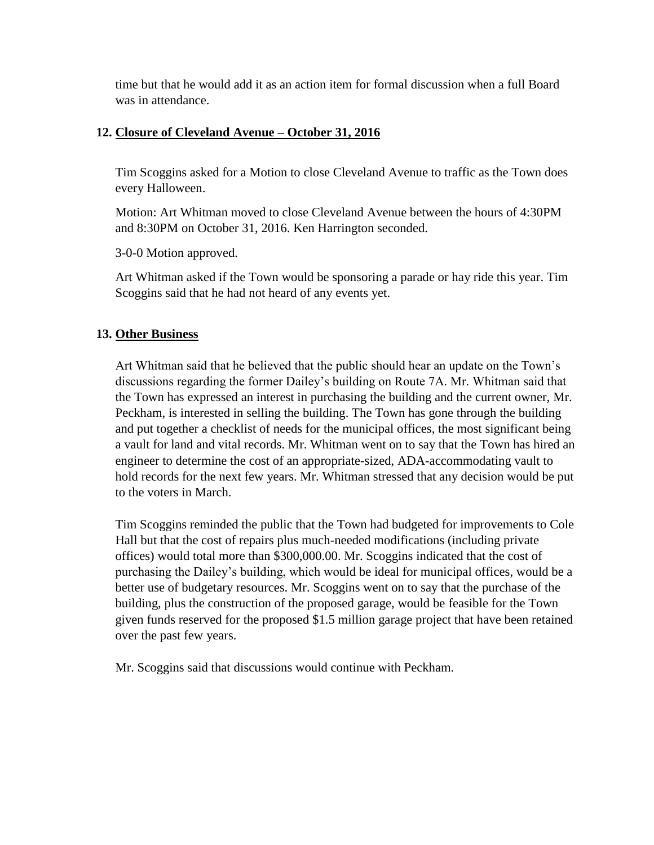time but that he would add it as an action item for formal discussion when a full Board was in attendance.

# **12. Closure of Cleveland Avenue – October 31, 2016**

Tim Scoggins asked for a Motion to close Cleveland Avenue to traffic as the Town does every Halloween.

Motion: Art Whitman moved to close Cleveland Avenue between the hours of 4:30PM and 8:30PM on October 31, 2016. Ken Harrington seconded.

3-0-0 Motion approved.

Art Whitman asked if the Town would be sponsoring a parade or hay ride this year. Tim Scoggins said that he had not heard of any events yet.

# **13. Other Business**

Art Whitman said that he believed that the public should hear an update on the Town's discussions regarding the former Dailey's building on Route 7A. Mr. Whitman said that the Town has expressed an interest in purchasing the building and the current owner, Mr. Peckham, is interested in selling the building. The Town has gone through the building and put together a checklist of needs for the municipal offices, the most significant being a vault for land and vital records. Mr. Whitman went on to say that the Town has hired an engineer to determine the cost of an appropriate-sized, ADA-accommodating vault to hold records for the next few years. Mr. Whitman stressed that any decision would be put to the voters in March.

Tim Scoggins reminded the public that the Town had budgeted for improvements to Cole Hall but that the cost of repairs plus much-needed modifications (including private offices) would total more than \$300,000.00. Mr. Scoggins indicated that the cost of purchasing the Dailey's building, which would be ideal for municipal offices, would be a better use of budgetary resources. Mr. Scoggins went on to say that the purchase of the building, plus the construction of the proposed garage, would be feasible for the Town given funds reserved for the proposed \$1.5 million garage project that have been retained over the past few years.

Mr. Scoggins said that discussions would continue with Peckham.